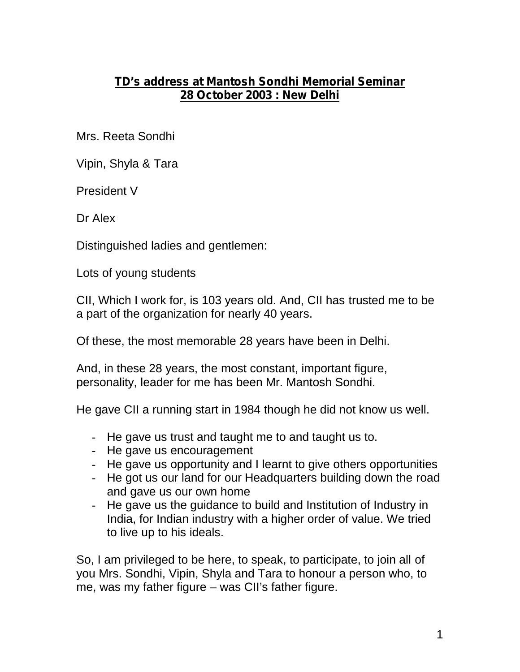## **TD's address at Mantosh Sondhi Memorial Seminar 28 October 2003 : New Delhi**

Mrs. Reeta Sondhi

Vipin, Shyla & Tara

President V

Dr Alex

Distinguished ladies and gentlemen:

Lots of young students

CII, Which I work for, is 103 years old. And, CII has trusted me to be a part of the organization for nearly 40 years.

Of these, the most memorable 28 years have been in Delhi.

And, in these 28 years, the most constant, important figure, personality, leader for me has been Mr. Mantosh Sondhi.

He gave CII a running start in 1984 though he did not know us well.

- He gave us trust and taught me to and taught us to.
- He gave us encouragement
- He gave us opportunity and I learnt to give others opportunities
- He got us our land for our Headquarters building down the road and gave us our own home
- He gave us the guidance to build and Institution of Industry in India, for Indian industry with a higher order of value. We tried to live up to his ideals.

So, I am privileged to be here, to speak, to participate, to join all of you Mrs. Sondhi, Vipin, Shyla and Tara to honour a person who, to me, was my father figure – was CII's father figure.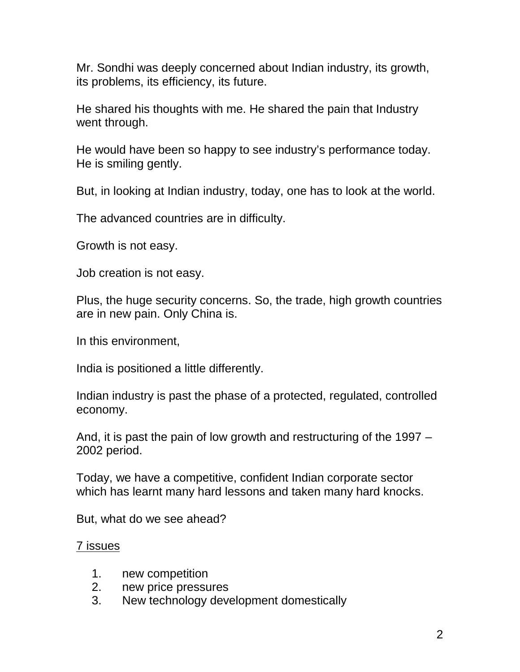Mr. Sondhi was deeply concerned about Indian industry, its growth, its problems, its efficiency, its future.

He shared his thoughts with me. He shared the pain that Industry went through.

He would have been so happy to see industry's performance today. He is smiling gently.

But, in looking at Indian industry, today, one has to look at the world.

The advanced countries are in difficulty.

Growth is not easy.

Job creation is not easy.

Plus, the huge security concerns. So, the trade, high growth countries are in new pain. Only China is.

In this environment,

India is positioned a little differently.

Indian industry is past the phase of a protected, regulated, controlled economy.

And, it is past the pain of low growth and restructuring of the 1997 – 2002 period.

Today, we have a competitive, confident Indian corporate sector which has learnt many hard lessons and taken many hard knocks.

But, what do we see ahead?

7 issues

- 1. new competition
- 2. new price pressures
- 3. New technology development domestically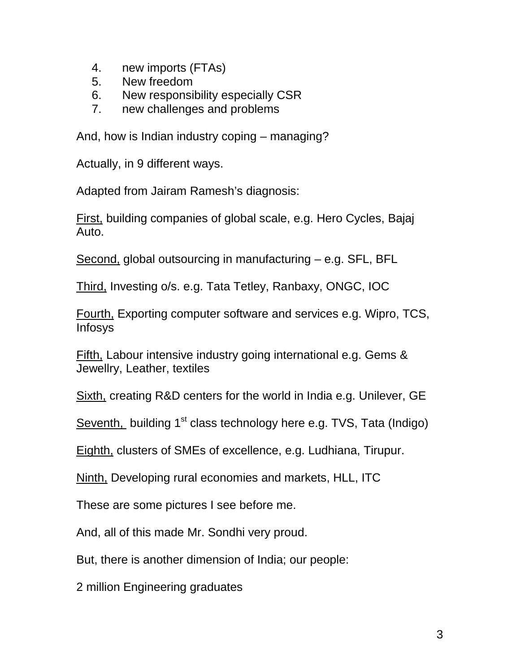- 4. new imports (FTAs)
- 5. New freedom
- 6. New responsibility especially CSR
- 7. new challenges and problems

And, how is Indian industry coping – managing?

Actually, in 9 different ways.

Adapted from Jairam Ramesh's diagnosis:

First, building companies of global scale, e.g. Hero Cycles, Bajaj Auto.

Second, global outsourcing in manufacturing – e.g. SFL, BFL

Third, Investing o/s. e.g. Tata Tetley, Ranbaxy, ONGC, IOC

Fourth, Exporting computer software and services e.g. Wipro, TCS, Infosys

Fifth, Labour intensive industry going international e.g. Gems & Jewellry, Leather, textiles

Sixth, creating R&D centers for the world in India e.g. Unilever, GE

Seventh, building  $1<sup>st</sup>$  class technology here e.g. TVS, Tata (Indigo)

Eighth, clusters of SMEs of excellence, e.g. Ludhiana, Tirupur.

Ninth, Developing rural economies and markets, HLL, ITC

These are some pictures I see before me.

And, all of this made Mr. Sondhi very proud.

But, there is another dimension of India; our people:

2 million Engineering graduates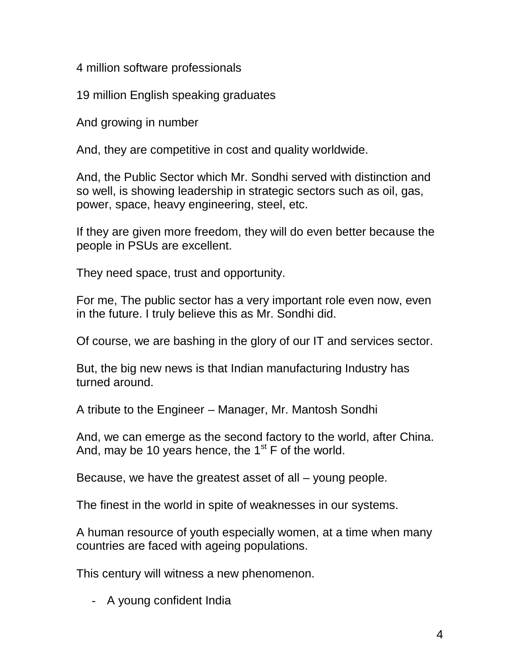4 million software professionals

19 million English speaking graduates

And growing in number

And, they are competitive in cost and quality worldwide.

And, the Public Sector which Mr. Sondhi served with distinction and so well, is showing leadership in strategic sectors such as oil, gas, power, space, heavy engineering, steel, etc.

If they are given more freedom, they will do even better because the people in PSUs are excellent.

They need space, trust and opportunity.

For me, The public sector has a very important role even now, even in the future. I truly believe this as Mr. Sondhi did.

Of course, we are bashing in the glory of our IT and services sector.

But, the big new news is that Indian manufacturing Industry has turned around.

A tribute to the Engineer – Manager, Mr. Mantosh Sondhi

And, we can emerge as the second factory to the world, after China. And, may be 10 years hence, the  $1<sup>st</sup>$  F of the world.

Because, we have the greatest asset of all – young people.

The finest in the world in spite of weaknesses in our systems.

A human resource of youth especially women, at a time when many countries are faced with ageing populations.

This century will witness a new phenomenon.

- A young confident India